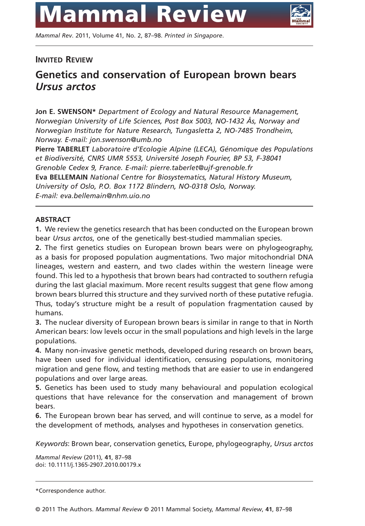

*Mammal Rev*. 2011, Volume 41, No. 2, 87–98. *Printed in Singapore*.

## **INVITED REVIEW**

# **Genetics and conservation of European brown bears** *Ursus arctos*

**Jon E. SWENSON\*** *Department of Ecology and Natural Resource Management, Norwegian University of Life Sciences, Post Box 5003, NO-1432 Ås, Norway and Norwegian Institute for Nature Research, Tungasletta 2, NO-7485 Trondheim, Norway. E-mail: jon.swenson@umb.no*

**Pierre TABERLET** *Laboratoire d'Ecologie Alpine (LECA), Génomique des Populations et Biodiversité, CNRS UMR 5553, Université Joseph Fourier, BP 53, F-38041 Grenoble Cedex 9, France. E-mail: pierre.taberlet@ujf-grenoble.fr* **Eva BELLEMAIN** *National Centre for Biosystematics, Natural History Museum, University of Oslo, P.O. Box 1172 Blindern, NO-0318 Oslo, Norway. E-mail: eva.bellemain@nhm.uio.no*

### **ABSTRACT**

**1.** We review the genetics research that has been conducted on the European brown bear *Ursus arctos*, one of the genetically best-studied mammalian species.

**2.** The first genetics studies on European brown bears were on phylogeography, as a basis for proposed population augmentations. Two major mitochondrial DNA lineages, western and eastern, and two clades within the western lineage were found. This led to a hypothesis that brown bears had contracted to southern refugia during the last glacial maximum. More recent results suggest that gene flow among brown bears blurred this structure and they survived north of these putative refugia. Thus, today's structure might be a result of population fragmentation caused by humans.

**3.** The nuclear diversity of European brown bears is similar in range to that in North American bears: low levels occur in the small populations and high levels in the large populations.

**4.** Many non-invasive genetic methods, developed during research on brown bears, have been used for individual identification, censusing populations, monitoring migration and gene flow, and testing methods that are easier to use in endangered populations and over large areas.

**5.** Genetics has been used to study many behavioural and population ecological questions that have relevance for the conservation and management of brown bears.

**6.** The European brown bear has served, and will continue to serve, as a model for the development of methods, analyses and hypotheses in conservation genetics.

*Keywords*: Brown bear, conservation genetics, Europe, phylogeography, *Ursus arctos*

*Mammal Review* (2011), **41**, 87–98 doi: 10.1111/j.1365-2907.2010.00179.x

\*Correspondence author.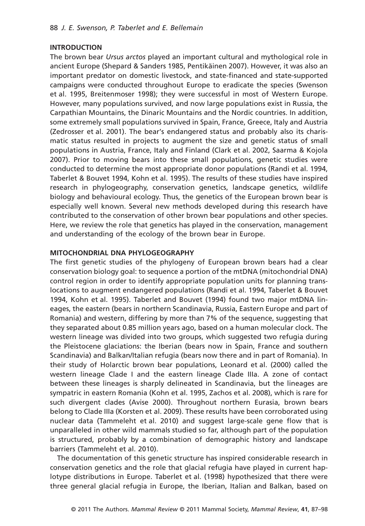#### **INTRODUCTION**

The brown bear *Ursus arctos* played an important cultural and mythological role in ancient Europe (Shepard & Sanders 1985, Pentikäinen 2007). However, it was also an important predator on domestic livestock, and state-financed and state-supported campaigns were conducted throughout Europe to eradicate the species (Swenson et al. 1995, Breitenmoser 1998); they were successful in most of Western Europe. However, many populations survived, and now large populations exist in Russia, the Carpathian Mountains, the Dinaric Mountains and the Nordic countries. In addition, some extremely small populations survived in Spain, France, Greece, Italy and Austria (Zedrosser et al. 2001). The bear's endangered status and probably also its charismatic status resulted in projects to augment the size and genetic status of small populations in Austria, France, Italy and Finland (Clark et al. 2002, Saarma & Kojola 2007). Prior to moving bears into these small populations, genetic studies were conducted to determine the most appropriate donor populations (Randi et al. 1994, Taberlet & Bouvet 1994, Kohn et al. 1995). The results of these studies have inspired research in phylogeography, conservation genetics, landscape genetics, wildlife biology and behavioural ecology. Thus, the genetics of the European brown bear is especially well known. Several new methods developed during this research have contributed to the conservation of other brown bear populations and other species. Here, we review the role that genetics has played in the conservation, management and understanding of the ecology of the brown bear in Europe.

#### **MITOCHONDRIAL DNA PHYLOGEOGRAPHY**

The first genetic studies of the phylogeny of European brown bears had a clear conservation biology goal: to sequence a portion of the mtDNA (mitochondrial DNA) control region in order to identify appropriate population units for planning translocations to augment endangered populations (Randi et al. 1994, Taberlet & Bouvet 1994, Kohn et al. 1995). Taberlet and Bouvet (1994) found two major mtDNA lineages, the eastern (bears in northern Scandinavia, Russia, Eastern Europe and part of Romania) and western, differing by more than 7% of the sequence, suggesting that they separated about 0.85 million years ago, based on a human molecular clock. The western lineage was divided into two groups, which suggested two refugia during the Pleistocene glaciations: the Iberian (bears now in Spain, France and southern Scandinavia) and Balkan/Italian refugia (bears now there and in part of Romania). In their study of Holarctic brown bear populations, Leonard et al. (2000) called the western lineage Clade I and the eastern lineage Clade IIIa. A zone of contact between these lineages is sharply delineated in Scandinavia, but the lineages are sympatric in eastern Romania (Kohn et al. 1995, Zachos et al. 2008), which is rare for such divergent clades (Avise 2000). Throughout northern Eurasia, brown bears belong to Clade IIIa (Korsten et al. 2009). These results have been corroborated using nuclear data (Tammeleht et al. 2010) and suggest large-scale gene flow that is unparalleled in other wild mammals studied so far, although part of the population is structured, probably by a combination of demographic history and landscape barriers (Tammeleht et al. 2010).

The documentation of this genetic structure has inspired considerable research in conservation genetics and the role that glacial refugia have played in current haplotype distributions in Europe. Taberlet et al. (1998) hypothesized that there were three general glacial refugia in Europe, the Iberian, Italian and Balkan, based on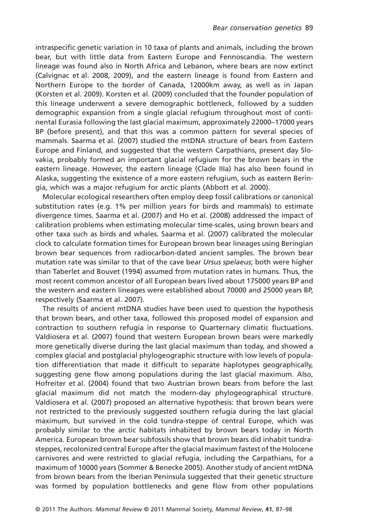intraspecific genetic variation in 10 taxa of plants and animals, including the brown bear, but with little data from Eastern Europe and Fennoscandia. The western lineage was found also in North Africa and Lebanon, where bears are now extinct (Calvignac et al. 2008, 2009), and the eastern lineage is found from Eastern and Northern Europe to the border of Canada, 12000km away, as well as in Japan (Korsten et al. 2009). Korsten et al. (2009) concluded that the founder population of this lineage underwent a severe demographic bottleneck, followed by a sudden demographic expansion from a single glacial refugium throughout most of continental Eurasia following the last glacial maximum, approximately 22000–17000 years BP (before present), and that this was a common pattern for several species of mammals. Saarma et al. (2007) studied the mtDNA structure of bears from Eastern Europe and Finland, and suggested that the western Carpathians, present day Slovakia, probably formed an important glacial refugium for the brown bears in the eastern lineage. However, the eastern lineage (Clade IIIa) has also been found in Alaska, suggesting the existence of a more eastern refugium, such as eastern Beringia, which was a major refugium for arctic plants (Abbott et al. 2000).

Molecular ecological researchers often employ deep fossil calibrations or canonical substitution rates (e.g. 1% per million years for birds and mammals) to estimate divergence times. Saarma et al. (2007) and Ho et al. (2008) addressed the impact of calibration problems when estimating molecular time-scales, using brown bears and other taxa such as birds and whales. Saarma et al. (2007) calibrated the molecular clock to calculate formation times for European brown bear lineages using Beringian brown bear sequences from radiocarbon-dated ancient samples. The brown bear mutation rate was similar to that of the cave bear *Ursus spelaeus*; both were higher than Taberlet and Bouvet (1994) assumed from mutation rates in humans. Thus, the most recent common ancestor of all European bears lived about 175000 years BP and the western and eastern lineages were established about 70000 and 25000 years BP, respectively (Saarma et al. 2007).

The results of ancient mtDNA studies have been used to question the hypothesis that brown bears, and other taxa, followed this proposed model of expansion and contraction to southern refugia in response to Quarternary climatic fluctuations. Valdiosera et al. (2007) found that western European brown bears were markedly more genetically diverse during the last glacial maximum than today, and showed a complex glacial and postglacial phylogeographic structure with low levels of population differentiation that made it difficult to separate haplotypes geographically, suggesting gene flow among populations during the last glacial maximum. Also, Hofreiter et al. (2004) found that two Austrian brown bears from before the last glacial maximum did not match the modern-day phylogeographical structure. Valdiosera et al. (2007) proposed an alternative hypothesis: that brown bears were not restricted to the previously suggested southern refugia during the last glacial maximum, but survived in the cold tundra-steppe of central Europe, which was probably similar to the arctic habitats inhabited by brown bears today in North America. European brown bear subfossils show that brown bears did inhabit tundrasteppes, recolonized central Europe after the glacial maximum fastest of the Holocene carnivores and were restricted to glacial refugia, including the Carpathians, for a maximum of 10000 years (Sommer & Benecke 2005). Another study of ancient mtDNA from brown bears from the Iberian Peninsula suggested that their genetic structure was formed by population bottlenecks and gene flow from other populations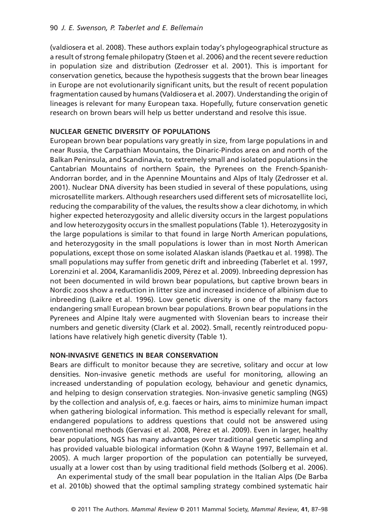(valdiosera et al. 2008). These authors explain today's phylogeographical structure as a result of strong female philopatry (Støen et al. 2006) and the recent severe reduction in population size and distribution (Zedrosser et al. 2001). This is important for conservation genetics, because the hypothesis suggests that the brown bear lineages in Europe are not evolutionarily significant units, but the result of recent population fragmentation caused by humans (Valdiosera et al. 2007). Understanding the origin of lineages is relevant for many European taxa. Hopefully, future conservation genetic research on brown bears will help us better understand and resolve this issue.

## **NUCLEAR GENETIC DIVERSITY OF POPULATIONS**

European brown bear populations vary greatly in size, from large populations in and near Russia, the Carpathian Mountains, the Dinaric-Pindos area on and north of the Balkan Peninsula, and Scandinavia, to extremely small and isolated populations in the Cantabrian Mountains of northern Spain, the Pyrenees on the French-Spanish-Andorran border, and in the Apennine Mountains and Alps of Italy (Zedrosser et al. 2001). Nuclear DNA diversity has been studied in several of these populations, using microsatellite markers. Although researchers used different sets of microsatellite loci, reducing the comparability of the values, the results show a clear dichotomy, in which higher expected heterozygosity and allelic diversity occurs in the largest populations and low heterozygosity occurs in the smallest populations (Table 1). Heterozygosity in the large populations is similar to that found in large North American populations, and heterozygosity in the small populations is lower than in most North American populations, except those on some isolated Alaskan islands (Paetkau et al. 1998). The small populations may suffer from genetic drift and inbreeding (Taberlet et al. 1997, Lorenzini et al. 2004, Karamanlidis 2009, Pérez et al. 2009). Inbreeding depression has not been documented in wild brown bear populations, but captive brown bears in Nordic zoos show a reduction in litter size and increased incidence of albinism due to inbreeding (Laikre et al. 1996). Low genetic diversity is one of the many factors endangering small European brown bear populations. Brown bear populations in the Pyrenees and Alpine Italy were augmented with Slovenian bears to increase their numbers and genetic diversity (Clark et al. 2002). Small, recently reintroduced populations have relatively high genetic diversity (Table 1).

### **NON-INVASIVE GENETICS IN BEAR CONSERVATION**

Bears are difficult to monitor because they are secretive, solitary and occur at low densities. Non-invasive genetic methods are useful for monitoring, allowing an increased understanding of population ecology, behaviour and genetic dynamics, and helping to design conservation strategies. Non-invasive genetic sampling (NGS) by the collection and analysis of, e.g. faeces or hairs, aims to minimize human impact when gathering biological information. This method is especially relevant for small, endangered populations to address questions that could not be answered using conventional methods (Gervasi et al. 2008, Pérez et al. 2009). Even in larger, healthy bear populations, NGS has many advantages over traditional genetic sampling and has provided valuable biological information (Kohn & Wayne 1997, Bellemain et al. 2005). A much larger proportion of the population can potentially be surveyed, usually at a lower cost than by using traditional field methods (Solberg et al. 2006).

An experimental study of the small bear population in the Italian Alps (De Barba et al. 2010b) showed that the optimal sampling strategy combined systematic hair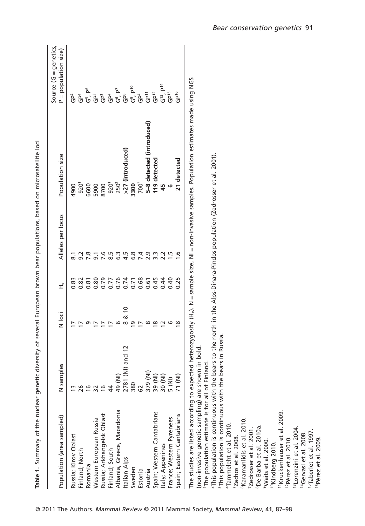| Table 1. Summary of the nuclear genetic diversity of several European brown bear populations, based on microsatellite loci |                     |                                 |             |                                                                                  |                                                                                                                                                                |                                                 |
|----------------------------------------------------------------------------------------------------------------------------|---------------------|---------------------------------|-------------|----------------------------------------------------------------------------------|----------------------------------------------------------------------------------------------------------------------------------------------------------------|-------------------------------------------------|
| Population (area sampled)                                                                                                  | N samples           | N loci                          | $\vec{\pm}$ | Alleles per locus                                                                | Population size                                                                                                                                                | Source $(G =$ genetics,<br>P = population size) |
| Russia; Kirov Oblast                                                                                                       |                     |                                 | 0.83        | $\overline{8}$ .                                                                 | 4900                                                                                                                                                           | ት<br>መ                                          |
| Finland; North                                                                                                             | $\frac{m}{26}$      |                                 | 0.82        | $\sim$                                                                           | $920^{1}$                                                                                                                                                      | $\tilde{d}^4$                                   |
| Romania                                                                                                                    | $\frac{9}{5}$       | თ                               | 0.81        | 7.8                                                                              | 6600                                                                                                                                                           | $G^5$ , $P^6$                                   |
| Western European Russia                                                                                                    | $32$ 16             | $\overline{1}$                  | 0.80        | $\overline{9}$ .                                                                 | 5900                                                                                                                                                           | Ĝ                                               |
| Russia; Arkhangelsk Oblast                                                                                                 |                     | $\overline{1}$                  | 0.79        | 7.6                                                                              | 8700                                                                                                                                                           | ĜP                                              |
| Finland; South                                                                                                             | $\overline{4}$      | $\overline{1}$                  | 0.77        | ruj<br>∞                                                                         | $920^{1}$                                                                                                                                                      | ር<br>በ                                          |
| Albania, Greece, Macedonia                                                                                                 | (IN) 67             | ဖ                               | 0.76        | ო<br>co                                                                          | 250 <sup>2</sup>                                                                                                                                               | $G^6$ , $P^7$                                   |
| Italian Alps                                                                                                               | (NI) and 12<br>2781 | $\overline{0}$<br>∞<br>$\infty$ | 0.74        | 4.5                                                                              | >27 (introduced)                                                                                                                                               | ga<br>G                                         |
| Sweden                                                                                                                     | 380                 | Ō                               | 0.71        | ∞<br>نی                                                                          | 3300                                                                                                                                                           | $G^9$ , $P^{10}$                                |
| Estonia                                                                                                                    | 62                  | ⋍                               | 0.68        | 7.4                                                                              | 700 <sup>3</sup>                                                                                                                                               | Ğ <sup>4</sup>                                  |
| Austria                                                                                                                    | ŝ<br>379            | ∞                               | 0.61        | 2.9                                                                              | 5-8 detected (introduced)                                                                                                                                      | id<br>GP                                        |
| Spain; Western Cantabrians                                                                                                 | 39 (NI)<br>30 (NI)  | $\overline{8}$                  | 0.45        | 3.3                                                                              | 119 detected                                                                                                                                                   | $GP^2$                                          |
| Italy; Appenines                                                                                                           |                     | $\overline{c}$                  | 0.44        |                                                                                  | 45                                                                                                                                                             | $G^{13}$ , $P^{14}$                             |
| France; Western Pyrenees                                                                                                   | 5 (NI)              | G                               | 0.40        | $\ddot{1}$                                                                       | G                                                                                                                                                              | GP <sup>15</sup>                                |
| Spain; Eastern Cantabrians                                                                                                 | 71 (NI)             | $\infty$                        | 0.25        | ڢ                                                                                | 21 detected                                                                                                                                                    | GP <sup>16</sup>                                |
|                                                                                                                            |                     |                                 |             |                                                                                  | The studies are listed according to expected heterozygosity (H <sub>e</sub> ). N = sample size, NI = non-invasive samples. Population estimates made using NGS |                                                 |
| (non-invasive genetic sampling) are shown in bold<br>The population estimate is for all of Finland.                        |                     |                                 |             |                                                                                  |                                                                                                                                                                |                                                 |
| <sup>2</sup> This population is continuous with the                                                                        |                     |                                 |             | bears to the north in the Alps-Dinara-Pindos population (Zedrosser et al. 2001). |                                                                                                                                                                |                                                 |
| <sup>3</sup> This population is continuous with the                                                                        | bears in Russia.    |                                 |             |                                                                                  |                                                                                                                                                                |                                                 |
| <sup>4</sup> Tammeleht et al. 2010.                                                                                        |                     |                                 |             |                                                                                  |                                                                                                                                                                |                                                 |
| 5Zachos et al. 2008.                                                                                                       |                     |                                 |             |                                                                                  |                                                                                                                                                                |                                                 |
| <sup>6</sup> Karamanlidis et al. 2010.                                                                                     |                     |                                 |             |                                                                                  |                                                                                                                                                                |                                                 |
| 7Zedrosser et al. 2001.                                                                                                    |                     |                                 |             |                                                                                  |                                                                                                                                                                |                                                 |
| <sup>8</sup> De Barba et al. 2010a.                                                                                        |                     |                                 |             |                                                                                  |                                                                                                                                                                |                                                 |
| <sup>9</sup> Waits et al. 2000.                                                                                            |                     |                                 |             |                                                                                  |                                                                                                                                                                |                                                 |
| <sup>10</sup> Kindberg 2010                                                                                                |                     |                                 |             |                                                                                  |                                                                                                                                                                |                                                 |
| <sup>11</sup> Kruckenhauser et al. 2009.                                                                                   |                     |                                 |             |                                                                                  |                                                                                                                                                                |                                                 |
| <sup>12</sup> Pérez et al. 2010.                                                                                           |                     |                                 |             |                                                                                  |                                                                                                                                                                |                                                 |
| <sup>13</sup> Lorenzini et al. 2004.                                                                                       |                     |                                 |             |                                                                                  |                                                                                                                                                                |                                                 |
| <sup>14</sup> Gervasi et al. 2008.                                                                                         |                     |                                 |             |                                                                                  |                                                                                                                                                                |                                                 |
| <sup>15</sup> Taberlet et al. 1997.                                                                                        |                     |                                 |             |                                                                                  |                                                                                                                                                                |                                                 |
| <sup>16</sup> Pérez et al. 2009                                                                                            |                     |                                 |             |                                                                                  |                                                                                                                                                                |                                                 |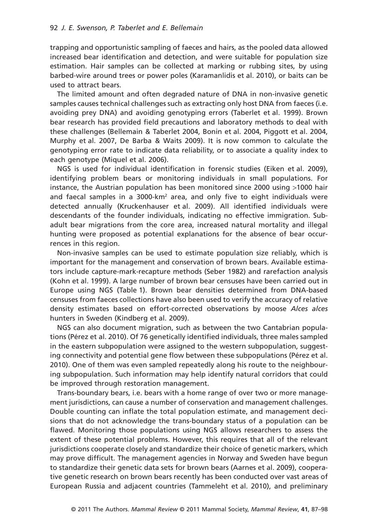trapping and opportunistic sampling of faeces and hairs, as the pooled data allowed increased bear identification and detection, and were suitable for population size estimation. Hair samples can be collected at marking or rubbing sites, by using barbed-wire around trees or power poles (Karamanlidis et al. 2010), or baits can be used to attract bears.

The limited amount and often degraded nature of DNA in non-invasive genetic samples causes technical challenges such as extracting only host DNA from faeces (i.e. avoiding prey DNA) and avoiding genotyping errors (Taberlet et al. 1999). Brown bear research has provided field precautions and laboratory methods to deal with these challenges (Bellemain & Taberlet 2004, Bonin et al. 2004, Piggott et al. 2004, Murphy et al. 2007, De Barba & Waits 2009). It is now common to calculate the genotyping error rate to indicate data reliability, or to associate a quality index to each genotype (Miquel et al. 2006).

NGS is used for individual identification in forensic studies (Eiken et al. 2009), identifying problem bears or monitoring individuals in small populations. For instance, the Austrian population has been monitored since 2000 using >1000 hair and faecal samples in a 3000-km<sup>2</sup> area, and only five to eight individuals were detected annually (Kruckenhauser et al. 2009). All identified individuals were descendants of the founder individuals, indicating no effective immigration. Subadult bear migrations from the core area, increased natural mortality and illegal hunting were proposed as potential explanations for the absence of bear occurrences in this region.

Non-invasive samples can be used to estimate population size reliably, which is important for the management and conservation of brown bears. Available estimators include capture-mark-recapture methods (Seber 1982) and rarefaction analysis (Kohn et al. 1999). A large number of brown bear censuses have been carried out in Europe using NGS (Table 1). Brown bear densities determined from DNA-based censuses from faeces collections have also been used to verify the accuracy of relative density estimates based on effort-corrected observations by moose *Alces alces* hunters in Sweden (Kindberg et al. 2009).

NGS can also document migration, such as between the two Cantabrian populations (Pérez et al. 2010). Of 76 genetically identified individuals, three males sampled in the eastern subpopulation were assigned to the western subpopulation, suggesting connectivity and potential gene flow between these subpopulations (Pérez et al. 2010). One of them was even sampled repeatedly along his route to the neighbouring subpopulation. Such information may help identify natural corridors that could be improved through restoration management.

Trans-boundary bears, i.e. bears with a home range of over two or more management jurisdictions, can cause a number of conservation and management challenges. Double counting can inflate the total population estimate, and management decisions that do not acknowledge the trans-boundary status of a population can be flawed. Monitoring those populations using NGS allows researchers to assess the extent of these potential problems. However, this requires that all of the relevant jurisdictions cooperate closely and standardize their choice of genetic markers, which may prove difficult. The management agencies in Norway and Sweden have begun to standardize their genetic data sets for brown bears (Aarnes et al. 2009), cooperative genetic research on brown bears recently has been conducted over vast areas of European Russia and adjacent countries (Tammeleht et al. 2010), and preliminary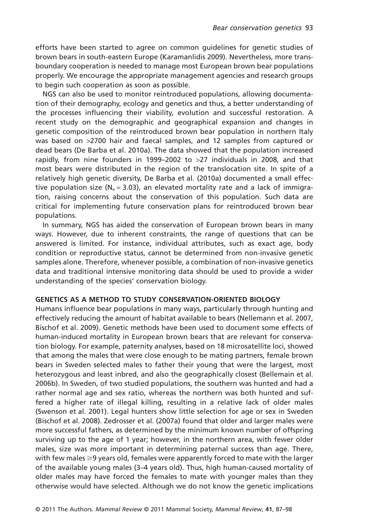efforts have been started to agree on common guidelines for genetic studies of brown bears in south-eastern Europe (Karamanlidis 2009). Nevertheless, more transboundary cooperation is needed to manage most European brown bear populations properly. We encourage the appropriate management agencies and research groups to begin such cooperation as soon as possible.

NGS can also be used to monitor reintroduced populations, allowing documentation of their demography, ecology and genetics and thus, a better understanding of the processes influencing their viability, evolution and successful restoration. A recent study on the demographic and geographical expansion and changes in genetic composition of the reintroduced brown bear population in northern Italy was based on >2700 hair and faecal samples, and 12 samples from captured or dead bears (De Barba et al. 2010a). The data showed that the population increased rapidly, from nine founders in 1999–2002 to >27 individuals in 2008, and that most bears were distributed in the region of the translocation site. In spite of a relatively high genetic diversity, De Barba et al. (2010a) documented a small effective population size ( $N_e = 3.03$ ), an elevated mortality rate and a lack of immigration, raising concerns about the conservation of this population. Such data are critical for implementing future conservation plans for reintroduced brown bear populations.

In summary, NGS has aided the conservation of European brown bears in many ways. However, due to inherent constraints, the range of questions that can be answered is limited. For instance, individual attributes, such as exact age, body condition or reproductive status, cannot be determined from non-invasive genetic samples alone. Therefore, whenever possible, a combination of non-invasive genetics data and traditional intensive monitoring data should be used to provide a wider understanding of the species' conservation biology.

#### **GENETICS AS A METHOD TO STUDY CONSERVATION-ORIENTED BIOLOGY**

Humans influence bear populations in many ways, particularly through hunting and effectively reducing the amount of habitat available to bears (Nellemann et al. 2007, Bischof et al. 2009). Genetic methods have been used to document some effects of human-induced mortality in European brown bears that are relevant for conservation biology. For example, paternity analyses, based on 18 microsatellite loci, showed that among the males that were close enough to be mating partners, female brown bears in Sweden selected males to father their young that were the largest, most heterozygous and least inbred, and also the geographically closest (Bellemain et al. 2006b). In Sweden, of two studied populations, the southern was hunted and had a rather normal age and sex ratio, whereas the northern was both hunted and suffered a higher rate of illegal killing, resulting in a relative lack of older males (Swenson et al. 2001). Legal hunters show little selection for age or sex in Sweden (Bischof et al. 2008). Zedrosser et al. (2007a) found that older and larger males were more successful fathers, as determined by the minimum known number of offspring surviving up to the age of 1 year; however, in the northern area, with fewer older males, size was more important in determining paternal success than age. There, with few males  $\geq$ 9 years old, females were apparently forced to mate with the larger of the available young males (3–4 years old). Thus, high human-caused mortality of older males may have forced the females to mate with younger males than they otherwise would have selected. Although we do not know the genetic implications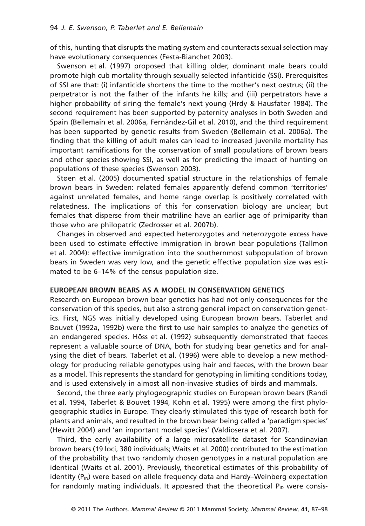of this, hunting that disrupts the mating system and counteracts sexual selection may have evolutionary consequences (Festa-Bianchet 2003).

Swenson et al. (1997) proposed that killing older, dominant male bears could promote high cub mortality through sexually selected infanticide (SSI). Prerequisites of SSI are that: (i) infanticide shortens the time to the mother's next oestrus; (ii) the perpetrator is not the father of the infants he kills; and (iii) perpetrators have a higher probability of siring the female's next young (Hrdy & Hausfater 1984). The second requirement has been supported by paternity analyses in both Sweden and Spain (Bellemain et al. 2006a, Fernàndez-Gil et al. 2010), and the third requirement has been supported by genetic results from Sweden (Bellemain et al. 2006a). The finding that the killing of adult males can lead to increased juvenile mortality has important ramifications for the conservation of small populations of brown bears and other species showing SSI, as well as for predicting the impact of hunting on populations of these species (Swenson 2003).

Støen et al. (2005) documented spatial structure in the relationships of female brown bears in Sweden: related females apparently defend common 'territories' against unrelated females, and home range overlap is positively correlated with relatedness. The implications of this for conservation biology are unclear, but females that disperse from their matriline have an earlier age of primiparity than those who are philopatric (Zedrosser et al. 2007b).

Changes in observed and expected heterozygotes and heterozygote excess have been used to estimate effective immigration in brown bear populations (Tallmon et al. 2004): effective immigration into the southernmost subpopulation of brown bears in Sweden was very low, and the genetic effective population size was estimated to be 6–14% of the census population size.

#### **EUROPEAN BROWN BEARS AS A MODEL IN CONSERVATION GENETICS**

Research on European brown bear genetics has had not only consequences for the conservation of this species, but also a strong general impact on conservation genetics. First, NGS was initially developed using European brown bears. Taberlet and Bouvet (1992a, 1992b) were the first to use hair samples to analyze the genetics of an endangered species. Höss et al. (1992) subsequently demonstrated that faeces represent a valuable source of DNA, both for studying bear genetics and for analysing the diet of bears. Taberlet et al. (1996) were able to develop a new methodology for producing reliable genotypes using hair and faeces, with the brown bear as a model. This represents the standard for genotyping in limiting conditions today, and is used extensively in almost all non-invasive studies of birds and mammals.

Second, the three early phylogeographic studies on European brown bears (Randi et al. 1994, Taberlet & Bouvet 1994, Kohn et al. 1995) were among the first phylogeographic studies in Europe. They clearly stimulated this type of research both for plants and animals, and resulted in the brown bear being called a 'paradigm species' (Hewitt 2004) and 'an important model species' (Valdiosera et al. 2007).

Third, the early availability of a large microsatellite dataset for Scandinavian brown bears (19 loci, 380 individuals; Waits et al. 2000) contributed to the estimation of the probability that two randomly chosen genotypes in a natural population are identical (Waits et al. 2001). Previously, theoretical estimates of this probability of identity (P<sub>ID</sub>) were based on allele frequency data and Hardy–Weinberg expectation for randomly mating individuals. It appeared that the theoretical  $P_{ID}$  were consis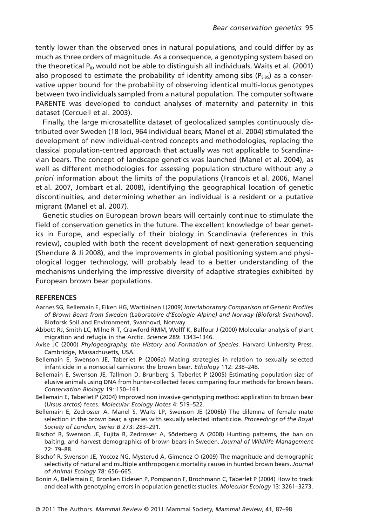tently lower than the observed ones in natural populations, and could differ by as much as three orders of magnitude. As a consequence, a genotyping system based on the theoretical  $P_{\text{ID}}$  would not be able to distinguish all individuals. Waits et al. (2001) also proposed to estimate the probability of identity among sibs ( $P_{SIBS}$ ) as a conservative upper bound for the probability of observing identical multi-locus genotypes between two individuals sampled from a natural population. The computer software PARENTE was developed to conduct analyses of maternity and paternity in this dataset (Cercueil et al. 2003).

Finally, the large microsatellite dataset of geolocalized samples continuously distributed over Sweden (18 loci, 964 individual bears; Manel et al. 2004) stimulated the development of new individual-centred concepts and methodologies, replacing the classical population-centred approach that actually was not applicable to Scandinavian bears. The concept of landscape genetics was launched (Manel et al. 2004), as well as different methodologies for assessing population structure without any *a priori* information about the limits of the populations (Francois et al. 2006, Manel et al. 2007, Jombart et al. 2008), identifying the geographical location of genetic discontinuities, and determining whether an individual is a resident or a putative migrant (Manel et al. 2007).

Genetic studies on European brown bears will certainly continue to stimulate the field of conservation genetics in the future. The excellent knowledge of bear genetics in Europe, and especially of their biology in Scandinavia (references in this review), coupled with both the recent development of next-generation sequencing (Shendure & Ji 2008), and the improvements in global positioning system and physiological logger technology, will probably lead to a better understanding of the mechanisms underlying the impressive diversity of adaptive strategies exhibited by European brown bear populations.

#### **REFERENCES**

- Aarnes SG, Bellemain E, Eiken HG, Wartiainen I (2009) *Interlaboratory Comparison of Genetic Profiles of Brown Bears from Sweden (Laboratoire d'Ecologie Alpine) and Norway (Bioforsk Svanhovd)*. Bioforsk Soil and Environment, Svanhovd, Norway.
- Abbott RJ, Smith LC, Milne R-T, Crawford RMM, Wolff K, Balfour J (2000) Molecular analysis of plant migration and refugia in the Arctic. *Science* 289: 1343–1346.
- Avise JC (2000) *Phylogeography, the History and Formation of Species*. Harvard University Press, Cambridge, Massachusetts, USA.
- Bellemain E, Swenson JE, Taberlet P (2006a) Mating strategies in relation to sexually selected infanticide in a nonsocial carnivore: the brown bear. *Ethology* 112: 238–248.
- Bellemain E, Swenson JE, Tallmon D, Brunberg S, Taberlet P (2005) Estimating population size of elusive animals using DNA from hunter-collected feces: comparing four methods for brown bears. *Conservation Biology* 19: 150–161.
- Bellemain E, Taberlet P (2004) Improved non invasive genotyping method: application to brown bear (*Ursus arctos*) feces. *Molecular Ecology Notes* 4: 519–522.
- Bellemain E, Zedrosser A, Manel S, Waits LP, Swenson JE (2006b) The dilemna of female mate selection in the brown bear, a species with sexually selected infanticide. *Proceedings of the Royal Society of London, Series B* 273: 283–291.
- Bischof R, Swenson JE, Fujita R, Zedrosser A, Söderberg A (2008) Hunting patterns, the ban on baiting, and harvest demographics of brown bears in Sweden. *Journal of Wildlife Management* 72: 79–88.
- Bischof R, Swenson JE, Yoccoz NG, Mysterud A, Gimenez O (2009) The magnitude and demographic selectivity of natural and multiple anthropogenic mortality causes in hunted brown bears. *Journal of Animal Ecology* 78: 656–665.
- Bonin A, Bellemain E, Bronken Eidesen P, Pompanon F, Brochmann C, Taberlet P (2004) How to track and deal with genotyping errors in population genetics studies. *Molecular Ecology* 13: 3261–3273.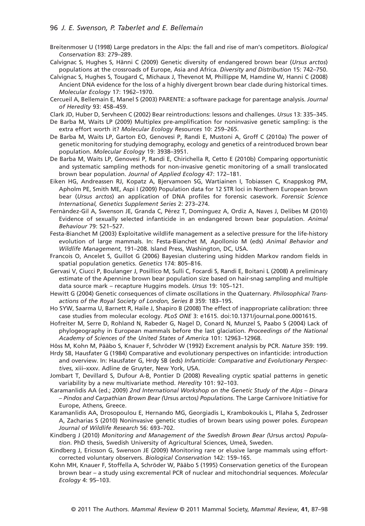#### 96 *J. E. Swenson, P. Taberlet and E. Bellemain*

- Breitenmoser U (1998) Large predators in the Alps: the fall and rise of man's competitors. *Biological Conservation* 83: 279–289.
- Calvignac S, Hughes S, Hänni C (2009) Genetic diversity of endangered brown bear (*Ursus arctos*) populations at the crossroads of Europe, Asia and Africa. *Diversity and Distribution* 15: 742–750.
- Calvignac S, Hughes S, Tougard C, Michaux J, Thevenot M, Phillippe M, Hamdine W, Hanni C (2008) Ancient DNA evidence for the loss of a highly divergent brown bear clade during historical times. *Molecular Ecology* 17: 1962–1970.
- Cercueil A, Bellemain E, Manel S (2003) PARENTE: a software package for parentage analysis. *Journal of Heredity* 93: 458–459.
- Clark JD, Huber D, Servheen C (2002) Bear reintroductions: lessons and challenges. *Ursus* 13: 335–345.
- De Barba M, Waits LP (2009) Multiplex pre-amplification for noninvasive genetic sampling: is the extra effort worth it? *Molecular Ecology Resources* 10: 259–265.
- De Barba M, Waits LP, Garton EO, Genovesi P, Randi E, Mustoni A, Groff C (2010a) The power of genetic monitoring for studying demography, ecology and genetics of a reintroduced brown bear population. *Molecular Ecology* 19: 3938–3951.
- De Barba M, Waits LP, Genovesi P, Randi E, Chirichella R, Cetto E (2010b) Comparing opportunistic and systematic sampling methods for non-invasive genetic monitoring of a small translocated brown bear population. *Journal of Applied Ecology* 47: 172–181.
- Eiken HG, Andreassen RJ, Kopatz A, Bjervamoen SG, Wartiainen I, Tobiassen C, Knappskog PM, Apholm PE, Smith ME, Aspi I (2009) Population data for 12 STR loci in Northern European brown bear (*Ursus arctos*) an application of DNA profiles for forensic casework. *Forensic Science International, Genetics Supplement Series* 2: 273–274.
- Fernàndez-Gil A, Swenson JE, Granda C, Pérez T, Domínguez A, Ordiz A, Naves J, Delibes M (2010) Evidence of sexually selected infanticide in an endangered brown bear population. *Animal Behaviour* 79: 521–527.
- Festa-Bianchet M (2003) Exploitative wildlife management as a selective pressure for the life-history evolution of large mammals. In: Festa-Bianchet M, Apollonio M (eds) *Animal Behavior and Wildlife Management*, 191–208. Island Press, Washington, DC, USA.
- Francois O, Ancelet S, Guillot G (2006) Bayesian clustering using hidden Markov random fields in spatial population genetics. *Genetics* 174: 805–816.
- Gervasi V, Ciucci P, Boulanger J, Posillico M, Sulli C, Focardi S, Randi E, Boitani L (2008) A preliminary estimate of the Apennine brown bear population size based on hair-snag sampling and multiple data source mark – recapture Huggins models. *Ursus* 19: 105–121.
- Hewitt G (2004) Genetic consequences of climate oscillations in the Quaternary. *Philosophical Transactions of the Royal Society of London, Series B* 359: 183–195.
- Ho SYW, Saarma U, Barnett R, Haile J, Shapiro B (2008) The effect of inappropriate calibration: three case studies from molecular ecology. *PLoS ONE* 3: e1615. doi:10.1371/journal.pone.0001615.
- Hofreiter M, Serre D, Rohland N, Rabeder G, Nagel D, Conard N, Munzel S, Paabo S (2004) Lack of phylogeography in European mammals before the last glaciation. *Proceedings of the National Academy of Sciences of the United States of America* 101: 12963–12968.
- Höss M, Kohn M, Pääbo S, Knauer F, Schröder W (1992) Excrement analysis by PCR. *Nature* 359: 199.
- Hrdy SB, Hausfater G (1984) Comparative and evolutionary perspectives on infanticide: introduction and overview. In: Hausfater G, Hrdy SB (eds) *Infanticide: Comparative and Evolutionary Perspectives*, xiii–xxxv. Adline de Gruyter, New York, USA.
- Jombart T, Devillard S, Dufour A-B, Pontier D (2008) Revealing cryptic spatial patterns in genetic variability by a new multivariate method. *Heredity* 101: 92–103.
- Karamanlidis AA (ed.; 2009) *2nd International Workshop on the Genetic Study of the Alps Dinara – Pindos and Carpathian Brown Bear (*Ursus arctos*) Populations*. The Large Carnivore Initiative for Europe, Athens, Greece.
- Karamanlidis AA, Drosopoulou E, Hernando MG, Georgiadis L, Krambokoukis L, Pllaha S, Zedrosser A, Zacharias S (2010) Noninvasive genetic studies of brown bears using power poles. *European Journal of Wildlife Research* 56: 693–702.
- Kindberg J (2010) *Monitoring and Management of the Swedish Brown Bear (*Ursus arctos*) Population*. PhD thesis, Swedish University of Agricultural Sciences, Umeå, Sweden.
- Kindberg J, Ericsson G, Swenson JE (2009) Monitoring rare or elusive large mammals using effortcorrected voluntary observers. *Biological Conservation* 142: 159–165.
- Kohn MH, Knauer F, Stoffella A, Schröder W, Pääbo S (1995) Conservation genetics of the European brown bear – a study using excremental PCR of nuclear and mitochondrial sequences. *Molecular Ecology* 4: 95–103.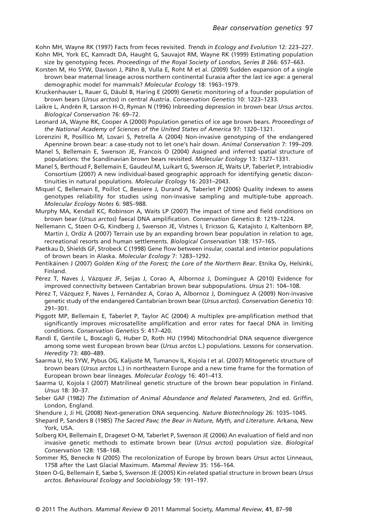Kohn MH, Wayne RK (1997) Facts from feces revisited. *Trends in Ecology and Evolution* 12: 223–227. Kohn MH, York EC, Kamradt DA, Haught G, Sauvajot RM, Wayne RK (1999) Estimating population size by genotyping feces. *Proceedings of the Royal Society of London, Series B* 266: 657–663.

- Korsten M, Ho SYW, Davison J, Pähn B, Vulla E, Roht M et al. (2009) Sudden expansion of a single brown bear maternal lineage across northern continental Eurasia after the last ice age: a general demographic model for mammals? *Molecular Ecology* 18: 1963–1979.
- Kruckenhauser L, Rauer G, Däubl B, Haring E (2009) Genetic monitoring of a founder population of brown bears (*Ursus arctos*) in central Austria. *Conservation Genetics* 10: 1223–1233.
- Laikre L, Andrén R, Larsson H-O, Ryman N (1996) Inbreeding depression in brown bear *Ursus arctos*. *Biological Conservation* 76: 69–72.
- Leonard JA, Wayne RK, Cooper A (2000) Population genetics of ice age brown bears. *Proceedings of the National Academy of Sciences of the United States of America* 97: 1320–1321.
- Lorenzini R, Posillico M, Lovari S, Petrella A (2004) Non-invasive genotyping of the endangered Apennine brown bear: a case-study not to let one's hair down. *Animal Conservation* 7: 199–209.
- Manel S, Bellemain E, Swenson JE, Francois O (2004) Assigned and inferred spatial structure of populations: the Scandinavian brown bears revisited. *Molecular Ecology* 13: 1327–1331.
- Manel S, Berthoud F, Bellemain E, Gaudeul M, Luikart G, Swenson JE, Waits LP, Taberlet P, Intrabiodiv Consortium (2007) A new individual-based geographic approach for identifying genetic discontinuities in natural populations. *Molecular Ecology* 16: 2031–2043.
- Miquel C, Bellemain E, Poillot C, Bessiere J, Durand A, Taberlet P (2006) Quality indexes to assess genotypes reliability for studies using non-invasive sampling and multiple-tube approach. *Molecular Ecology Notes* 6: 985–988.
- Murphy MA, Kendall KC, Robinson A, Waits LP (2007) The impact of time and field conditions on brown bear (*Ursus arctos*) faecal DNA amplification. *Conservation Genetics* 8: 1219–1224.
- Nellemann C, Støen O-G, Kindberg J, Swenson JE, Vistnes I, Ericsson G, Katajisto J, Kaltenborn BP, Martin J, Ordiz A (2007) Terrain use by an expanding brown bear population in relation to age, recreational resorts and human settlements. *Biological Conservation* 138: 157–165.
- Paetkau D, Shields GF, Strobeck C (1998) Gene flow between insular, coastal and interior populations of brown bears in Alaska. *Molecular Ecology* 7: 1283–1292.
- Pentikäinen J (2007) *Golden King of the Forest; the Lore of the Northern Bear*. Etnika Oy, Helsinki, Finland.
- Pérez T, Naves J, Vázquez JF, Seijas J, Corao A, Albornoz J, Domínguez A (2010) Evidence for improved connectivity between Cantabrian brown bear subpopulations. *Ursus* 21: 104–108.
- Pérez T, Vázquez F, Naves J, Fernández A, Corao A, Albornoz J, Domínguez A (2009) Non-invasive genetic study of the endangered Cantabrian brown bear (*Ursus arctos*). *Conservation Genetics* 10: 291–301.
- Piggott MP, Bellemain E, Taberlet P, Taylor AC (2004) A multiplex pre-amplification method that significantly improves microsatellite amplification and error rates for faecal DNA in limiting conditions. *Conservation Genetics* 5: 417–420.
- Randi E, Gentile L, Boscagli G, Huber D, Roth HU (1994) Mitochondrial DNA sequence divergence among some west European brown bear (*Ursus arctos* L.) populations. Lessons for conservation. *Heredity* 73: 480–489.
- Saarma U, Ho SYW, Pybus OG, Kaljuste M, Tumanov IL, Kojola I et al. (2007) Mitogenetic structure of brown bears (*Ursus arctos* L.) in northeastern Europe and a new time frame for the formation of European brown bear lineages. *Molecular Ecology* 16: 401–413.
- Saarma U, Kojola I (2007) Matrilineal genetic structure of the brown bear population in Finland. *Ursus* 18: 30–37.
- Seber GAF (1982) *The Estimation of Animal Abundance and Related Parameters*, 2nd ed. Griffin, London, England.
- Shendure J, Ji HL (2008) Next-generation DNA sequencing. *Nature Biotechnology* 26: 1035–1045.
- Shepard P, Sanders B (1985) *The Sacred Paw; the Bear in Nature, Myth, and Literature*. Arkana, New York, USA.
- Solberg KH, Bellemain E, Drageset O-M, Taberlet P, Swenson JE (2006) An evaluation of field and non invasive genetic methods to estimate brown bear (*Ursus arctos*) population size. *Biological Conservation* 128: 158–168.
- Sommer RS, Benecke N (2005) The recolonization of Europe by brown bears *Ursus actos* Linneaus, 1758 after the Last Glacial Maximum. *Mammal Review* 35: 156–164.
- Støen O-G, Bellemain E, Sæbø S, Swenson JE (2005) Kin-related spatial structure in brown bears *Ursus arctos*. *Behavioural Ecology and Sociobiology* 59: 191–197.